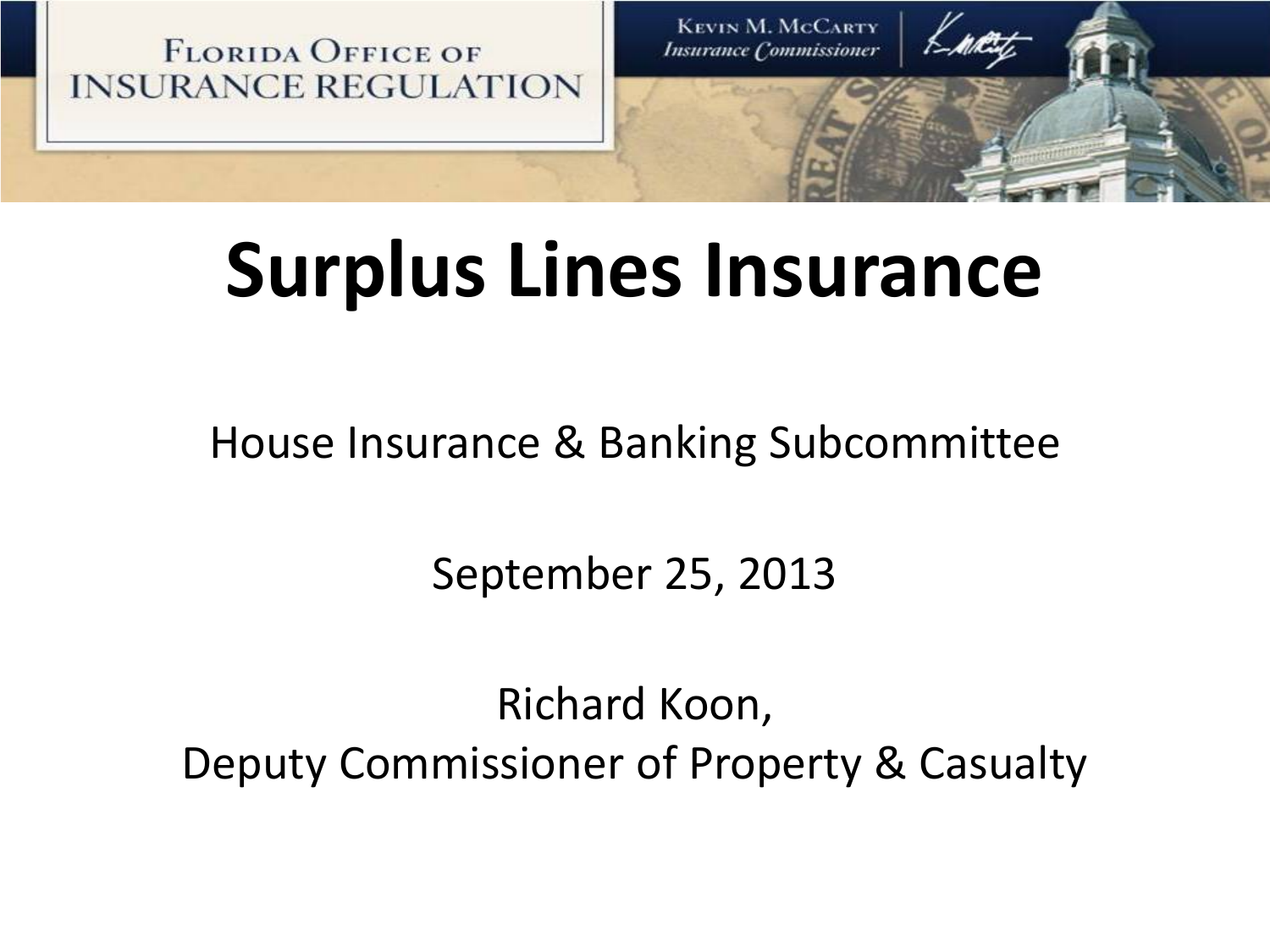**FLORIDA OFFICE OF INSURANCE REGULATION** 

**KEVIN M. MCCARTY Insurance Commissioner** 

# **Surplus Lines Insurance**

House Insurance & Banking Subcommittee

September 25, 2013

Richard Koon, Deputy Commissioner of Property & Casualty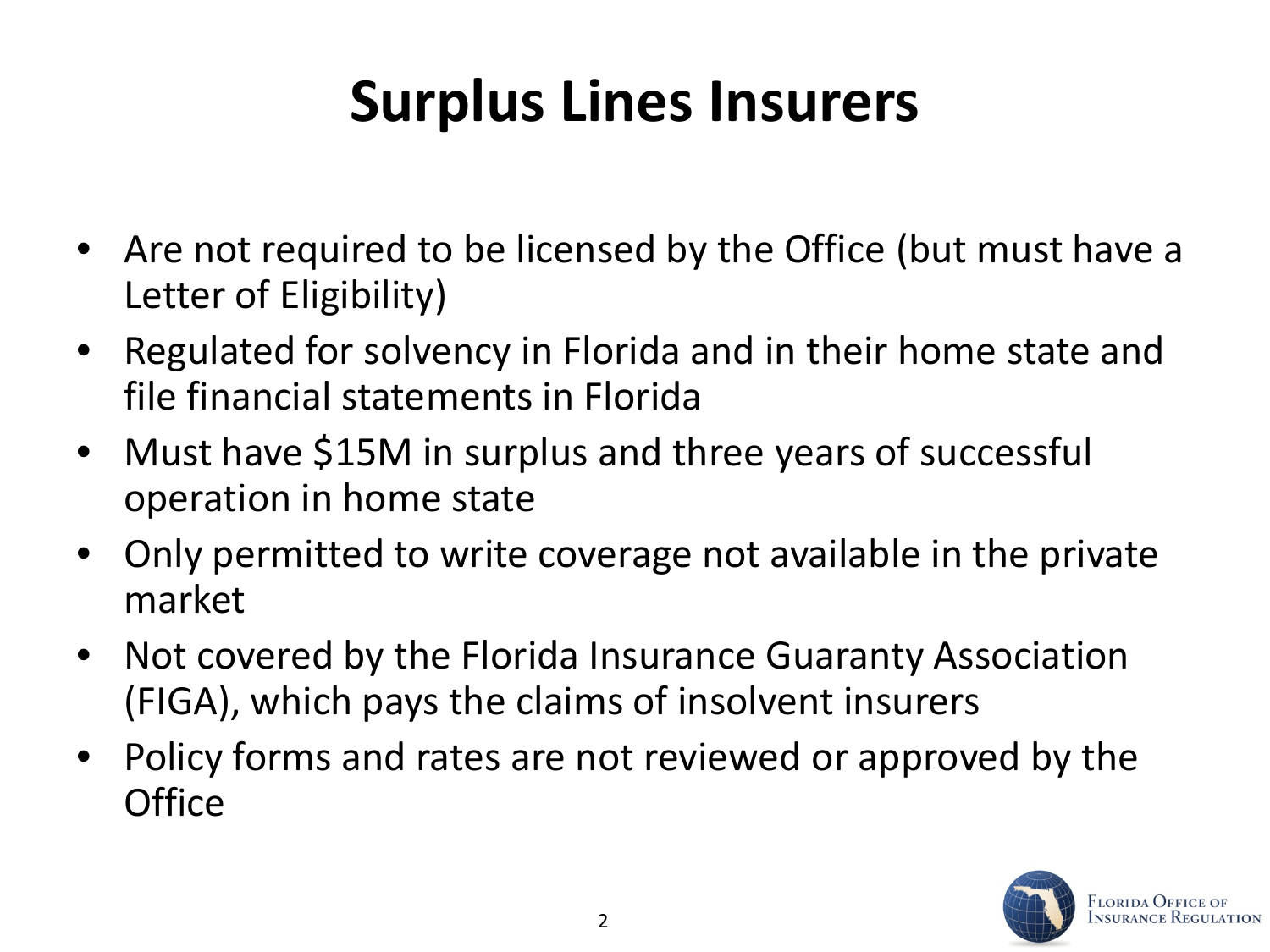### **Surplus Lines Insurers**

- Are not required to be licensed by the Office (but must have a Letter of Eligibility)
- Regulated for solvency in Florida and in their home state and file financial statements in Florida
- Must have \$15M in surplus and three years of successful operation in home state
- Only permitted to write coverage not available in the private market
- Not covered by the Florida Insurance Guaranty Association (FIGA), which pays the claims of insolvent insurers
- Policy forms and rates are not reviewed or approved by the **Office**

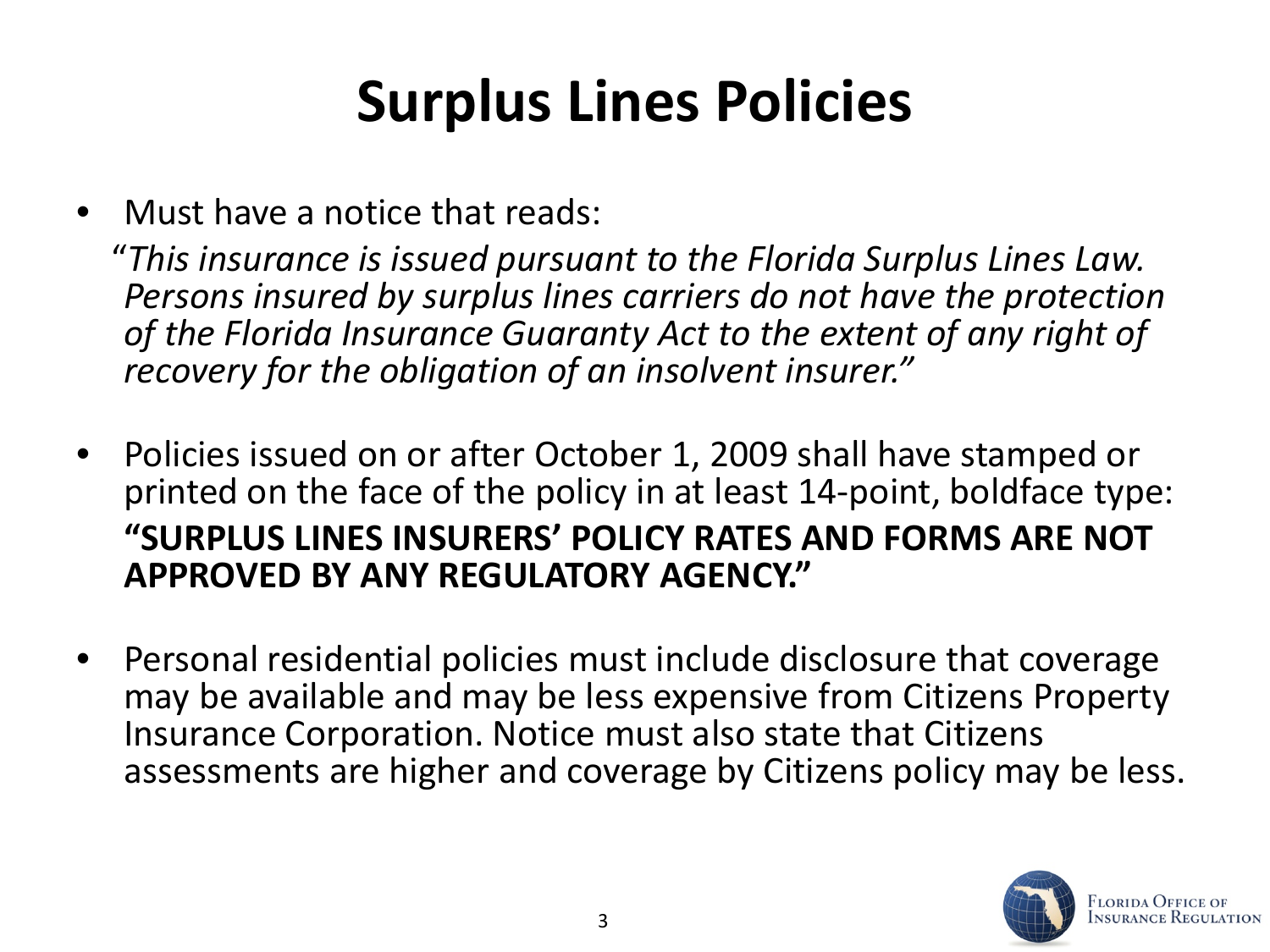### **Surplus Lines Policies**

• Must have a notice that reads:

 "*This insurance is issued pursuant to the Florida Surplus Lines Law. Persons insured by surplus lines carriers do not have the protection of the Florida Insurance Guaranty Act to the extent of any right of recovery for the obligation of an insolvent insurer."*

- Policies issued on or after October 1, 2009 shall have stamped or printed on the face of the policy in at least 14-point, boldface type: **"SURPLUS LINES INSURERS' POLICY RATES AND FORMS ARE NOT APPROVED BY ANY REGULATORY AGENCY."**
- Personal residential policies must include disclosure that coverage may be available and may be less expensive from Citizens Property Insurance Corporation. Notice must also state that Citizens assessments are higher and coverage by Citizens policy may be less.

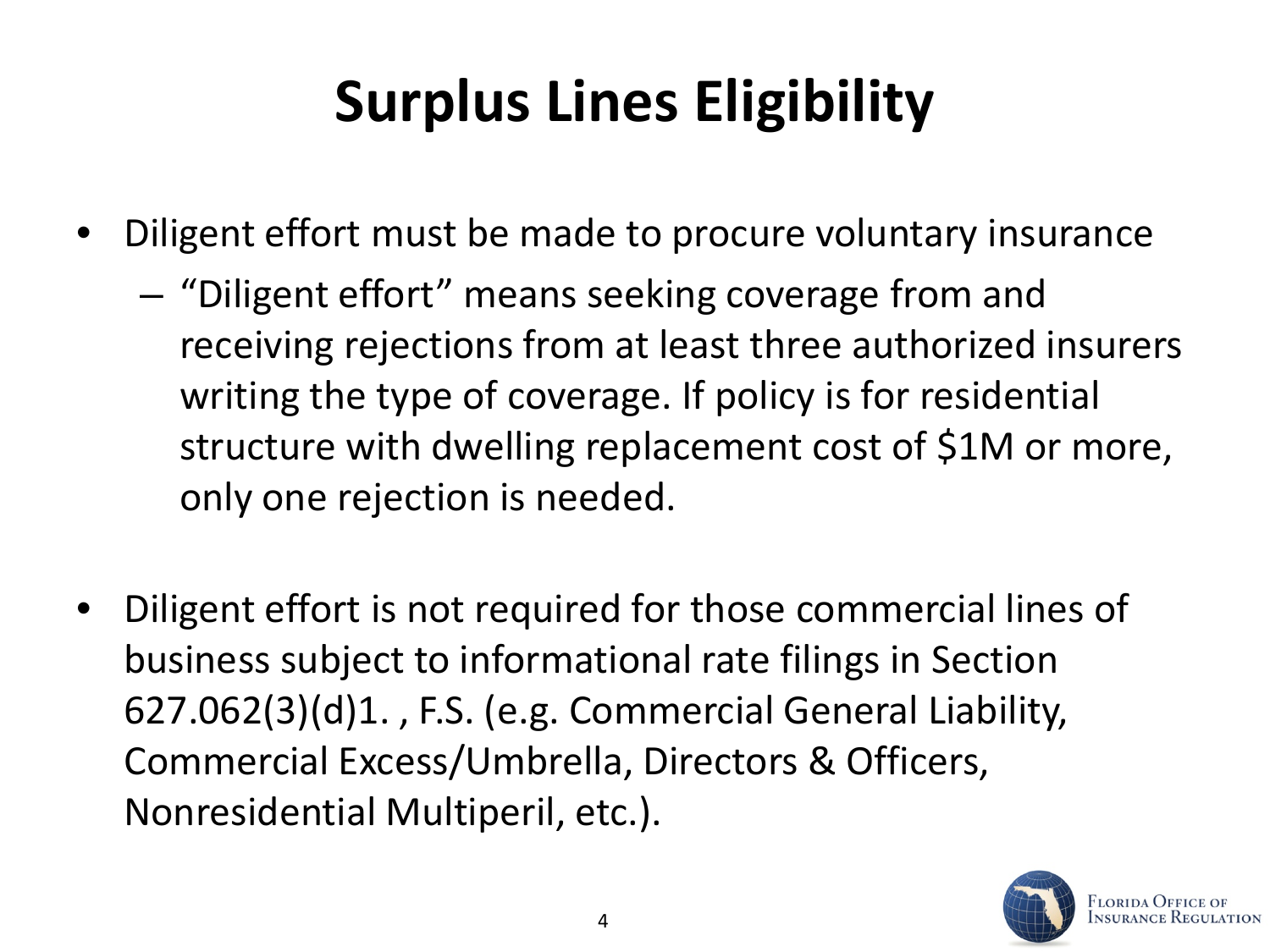### **Surplus Lines Eligibility**

- Diligent effort must be made to procure voluntary insurance
	- "Diligent effort" means seeking coverage from and receiving rejections from at least three authorized insurers writing the type of coverage. If policy is for residential structure with dwelling replacement cost of \$1M or more, only one rejection is needed.
- Diligent effort is not required for those commercial lines of business subject to informational rate filings in Section 627.062(3)(d)1. , F.S. (e.g. Commercial General Liability, Commercial Excess/Umbrella, Directors & Officers, Nonresidential Multiperil, etc.).

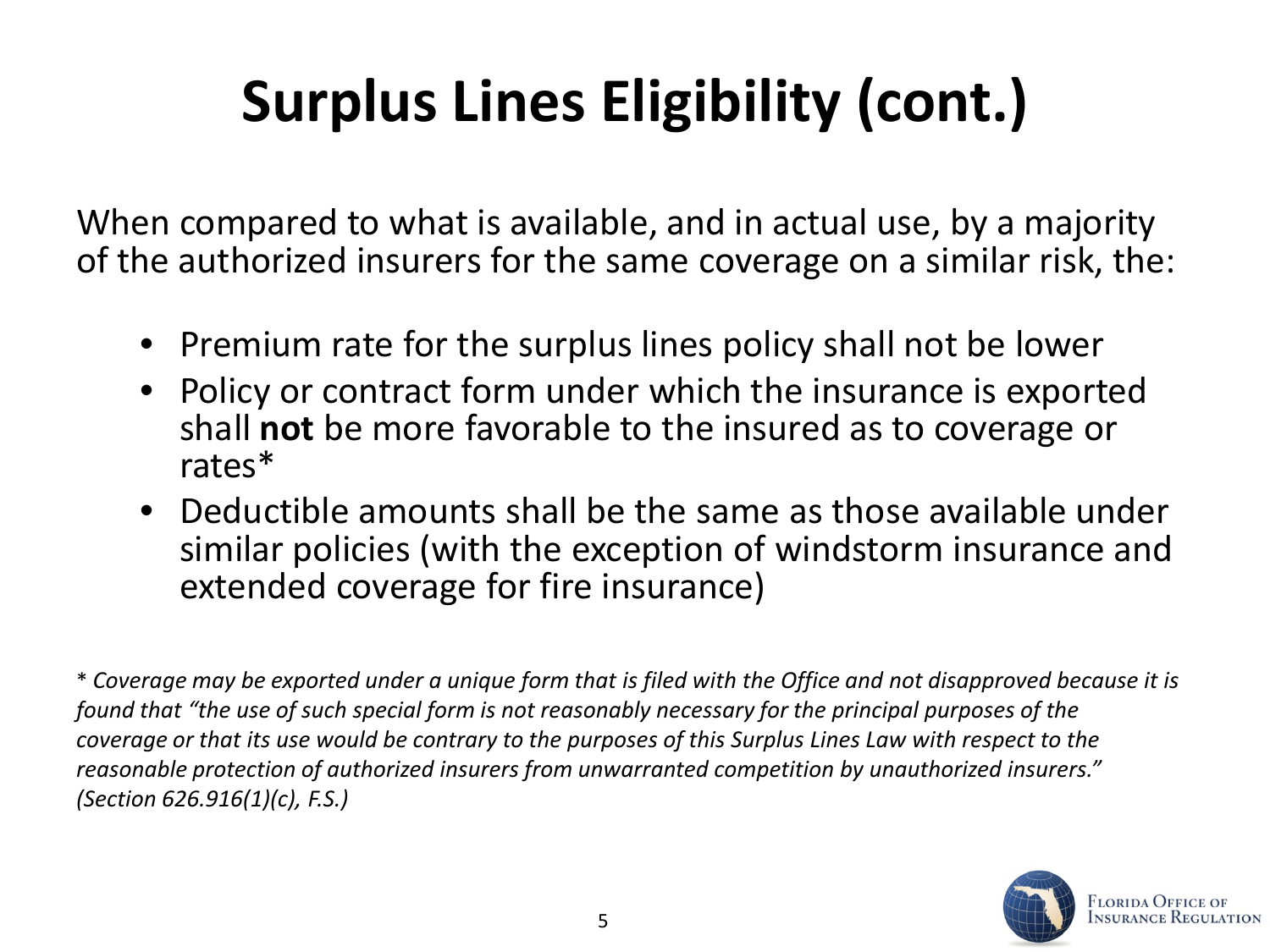## **Surplus Lines Eligibility (cont.)**

When compared to what is available, and in actual use, by a majority of the authorized insurers for the same coverage on a similar risk, the:

- Premium rate for the surplus lines policy shall not be lower
- Policy or contract form under which the insurance is exported shall **not** be more favorable to the insured as to coverage or rates\*
- Deductible amounts shall be the same as those available under similar policies (with the exception of windstorm insurance and extended coverage for fire insurance)

\* *Coverage may be exported under a unique form that is filed with the Office and not disapproved because it is found that "the use of such special form is not reasonably necessary for the principal purposes of the coverage or that its use would be contrary to the purposes of this Surplus Lines Law with respect to the reasonable protection of authorized insurers from unwarranted competition by unauthorized insurers." (Section 626.916(1)(c), F.S.)*